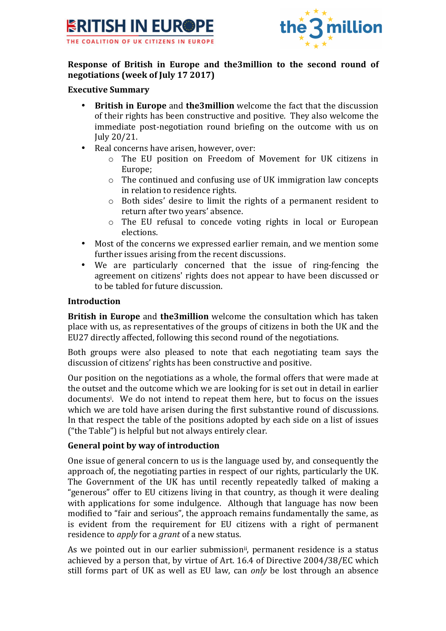



# **Response of British in Europe and the3million to the second round of negotiations (week of July 17 2017)**

#### **Executive Summary**

- **British in Europe** and **the3million** welcome the fact that the discussion of their rights has been constructive and positive. They also welcome the immediate post-negotiation round briefing on the outcome with us on July 20/21.
- Real concerns have arisen, however, over:
	- o The EU position on Freedom of Movement for UK citizens in Europe;
	- $\circ$  The continued and confusing use of UK immigration law concepts in relation to residence rights.
	- o Both sides' desire to limit the rights of a permanent resident to return after two vears' absence.
	- $\circ$  The EU refusal to concede voting rights in local or European elections.
- Most of the concerns we expressed earlier remain, and we mention some further issues arising from the recent discussions.
- We are particularly concerned that the issue of ring-fencing the agreement on citizens' rights does not appear to have been discussed or to be tabled for future discussion.

#### **Introduction**

**British in Europe** and **the3million** welcome the consultation which has taken place with us, as representatives of the groups of citizens in both the UK and the EU27 directly affected, following this second round of the negotiations.

Both groups were also pleased to note that each negotiating team says the discussion of citizens' rights has been constructive and positive.

Our position on the negotiations as a whole, the formal offers that were made at the outset and the outcome which we are looking for is set out in detail in earlier documents<sup>i</sup>. We do not intend to repeat them here, but to focus on the issues which we are told have arisen during the first substantive round of discussions. In that respect the table of the positions adopted by each side on a list of issues ("the Table") is helpful but not always entirely clear.

### **General point by way of introduction**

One issue of general concern to us is the language used by, and consequently the approach of, the negotiating parties in respect of our rights, particularly the UK. The Government of the UK has until recently repeatedly talked of making a "generous" offer to EU citizens living in that country, as though it were dealing with applications for some indulgence. Although that language has now been modified to "fair and serious", the approach remains fundamentally the same, as is evident from the requirement for EU citizens with a right of permanent residence to *apply* for a *grant* of a new status.

As we pointed out in our earlier submission<sup>ii</sup>, permanent residence is a status achieved by a person that, by virtue of Art. 16.4 of Directive 2004/38/EC which still forms part of UK as well as EU law, can *only* be lost through an absence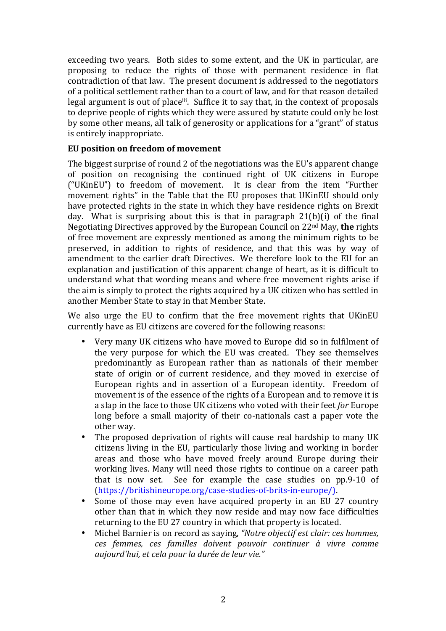exceeding two years. Both sides to some extent, and the UK in particular, are proposing to reduce the rights of those with permanent residence in flat contradiction of that law. The present document is addressed to the negotiators of a political settlement rather than to a court of law, and for that reason detailed legal argument is out of place<sup>iii</sup>. Suffice it to say that, in the context of proposals to deprive people of rights which they were assured by statute could only be lost by some other means, all talk of generosity or applications for a "grant" of status is entirely inappropriate.

## **EU** position on freedom of movement

The biggest surprise of round 2 of the negotiations was the EU's apparent change of position on recognising the continued right of UK citizens in Europe ("UKinEU") to freedom of movement. It is clear from the item "Further movement rights" in the Table that the EU proposes that UKinEU should only have protected rights in the state in which they have residence rights on Brexit day. What is surprising about this is that in paragraph  $21(b)(i)$  of the final Negotiating Directives approved by the European Council on 22<sup>nd</sup> May, the rights of free movement are expressly mentioned as among the minimum rights to be preserved, in addition to rights of residence, and that this was by way of amendment to the earlier draft Directives. We therefore look to the EU for an explanation and justification of this apparent change of heart, as it is difficult to understand what that wording means and where free movement rights arise if the aim is simply to protect the rights acquired by a UK citizen who has settled in another Member State to stay in that Member State.

We also urge the EU to confirm that the free movement rights that UKinEU currently have as EU citizens are covered for the following reasons:

- Very many UK citizens who have moved to Europe did so in fulfilment of the very purpose for which the EU was created. They see themselves predominantly as European rather than as nationals of their member state of origin or of current residence, and they moved in exercise of European rights and in assertion of a European identity. Freedom of movement is of the essence of the rights of a European and to remove it is a slap in the face to those UK citizens who voted with their feet *for* Europe long before a small majority of their co-nationals cast a paper vote the other way.
- The proposed deprivation of rights will cause real hardship to many UK citizens living in the EU, particularly those living and working in border areas and those who have moved freely around Europe during their working lives. Many will need those rights to continue on a career path that is now set. See for example the case studies on pp.9-10 of (https://britishineurope.org/case-studies-of-brits-in-europe/).
- Some of those may even have acquired property in an EU 27 country other than that in which they now reside and may now face difficulties returning to the EU 27 country in which that property is located.
- Michel Barnier is on record as saying, "Notre objectif est clair: ces hommes, *ces femmes, ces familles doivent pouvoir continuer à vivre comme aujourd'hui, et cela pour la durée de leur vie."*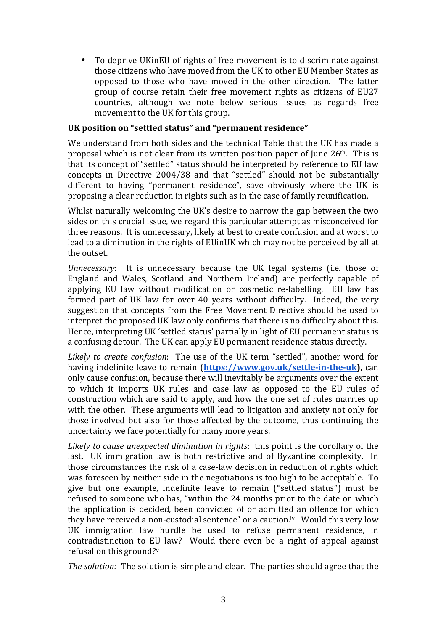To deprive UKinEU of rights of free movement is to discriminate against those citizens who have moved from the UK to other EU Member States as opposed to those who have moved in the other direction. The latter group of course retain their free movement rights as citizens of EU27 countries, although we note below serious issues as regards free movement to the UK for this group.

#### UK position on "settled status" and "permanent residence"

We understand from both sides and the technical Table that the UK has made a proposal which is not clear from its written position paper of June  $26<sup>th</sup>$ . This is that its concept of "settled" status should be interpreted by reference to EU law concepts in Directive 2004/38 and that "settled" should not be substantially different to having "permanent residence", save obviously where the UK is proposing a clear reduction in rights such as in the case of family reunification.

Whilst naturally welcoming the UK's desire to narrow the gap between the two sides on this crucial issue, we regard this particular attempt as misconceived for three reasons. It is unnecessary, likely at best to create confusion and at worst to lead to a diminution in the rights of EUinUK which may not be perceived by all at the outset.

*Unnecessary*: It is unnecessary because the UK legal systems (i.e. those of England and Wales, Scotland and Northern Ireland) are perfectly capable of applying EU law without modification or cosmetic re-labelling. EU law has formed part of UK law for over 40 years without difficulty. Indeed, the very suggestion that concepts from the Free Movement Directive should be used to interpret the proposed UK law only confirms that there is no difficulty about this. Hence, interpreting UK 'settled status' partially in light of EU permanent status is a confusing detour. The UK can apply EU permanent residence status directly.

Likely to create confusion: The use of the UK term "settled", another word for having indefinite leave to remain (https://www.gov.uk/settle-in-the-uk), can only cause confusion, because there will inevitably be arguments over the extent to which it imports UK rules and case law as opposed to the EU rules of construction which are said to apply, and how the one set of rules marries up with the other. These arguments will lead to litigation and anxiety not only for those involved but also for those affected by the outcome, thus continuing the uncertainty we face potentially for many more years.

Likely to cause unexpected diminution in rights: this point is the corollary of the last. UK immigration law is both restrictive and of Byzantine complexity. In those circumstances the risk of a case-law decision in reduction of rights which was foreseen by neither side in the negotiations is too high to be acceptable. To give but one example, indefinite leave to remain ("settled status") must be refused to someone who has, "within the 24 months prior to the date on which the application is decided, been convicted of or admitted an offence for which they have received a non-custodial sentence" or a caution.<sup>iv</sup> Would this very low UK immigration law hurdle be used to refuse permanent residence, in contradistinction to EU law? Would there even be a right of appeal against refusal on this ground?v

*The solution:* The solution is simple and clear. The parties should agree that the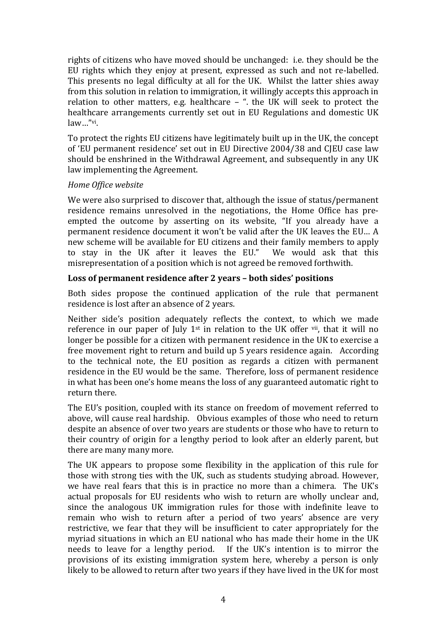rights of citizens who have moved should be unchanged: i.e. they should be the EU rights which they enjoy at present, expressed as such and not re-labelled. This presents no legal difficulty at all for the UK. Whilst the latter shies away from this solution in relation to immigration, it willingly accepts this approach in relation to other matters, e.g. healthcare  $-$  ". the UK will seek to protect the healthcare arrangements currently set out in EU Regulations and domestic UK law…"vi.

To protect the rights EU citizens have legitimately built up in the UK, the concept of 'EU permanent residence' set out in EU Directive 2004/38 and CJEU case law should be enshrined in the Withdrawal Agreement, and subsequently in any UK law implementing the Agreement.

### *Home Office website*

We were also surprised to discover that, although the issue of status/permanent residence remains unresolved in the negotiations, the Home Office has preempted the outcome by asserting on its website, "If you already have a permanent residence document it won't be valid after the UK leaves the EU... A new scheme will be available for EU citizens and their family members to apply to stay in the UK after it leaves the EU." We would ask that this misrepresentation of a position which is not agreed be removed forthwith.

### Loss of permanent residence after 2 years – both sides' positions

Both sides propose the continued application of the rule that permanent residence is lost after an absence of 2 years.

Neither side's position adequately reflects the context, to which we made reference in our paper of July  $1^{st}$  in relation to the UK offer  $\overline{v}$  that it will no longer be possible for a citizen with permanent residence in the UK to exercise a free movement right to return and build up 5 years residence again. According to the technical note, the EU position as regards a citizen with permanent residence in the EU would be the same. Therefore, loss of permanent residence in what has been one's home means the loss of any guaranteed automatic right to return there.

The EU's position, coupled with its stance on freedom of movement referred to above, will cause real hardship. Obvious examples of those who need to return despite an absence of over two years are students or those who have to return to their country of origin for a lengthy period to look after an elderly parent, but there are many many more.

The UK appears to propose some flexibility in the application of this rule for those with strong ties with the UK, such as students studying abroad. However, we have real fears that this is in practice no more than a chimera. The UK's actual proposals for EU residents who wish to return are wholly unclear and, since the analogous UK immigration rules for those with indefinite leave to remain who wish to return after a period of two years' absence are very restrictive, we fear that they will be insufficient to cater appropriately for the myriad situations in which an EU national who has made their home in the UK needs to leave for a lengthy period. If the UK's intention is to mirror the provisions of its existing immigration system here, whereby a person is only likely to be allowed to return after two years if they have lived in the UK for most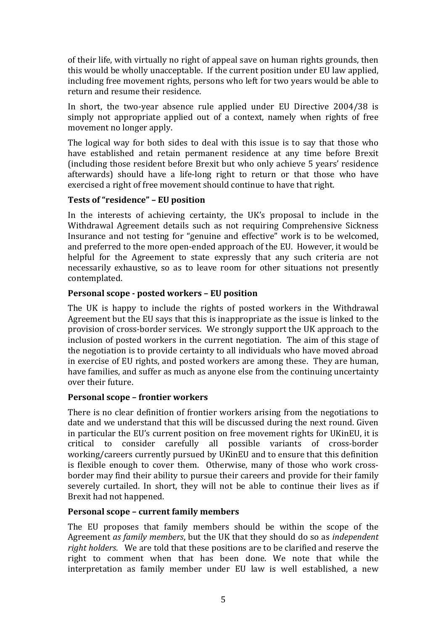of their life, with virtually no right of appeal save on human rights grounds, then this would be wholly unacceptable. If the current position under  $E\overline{U}$  law applied, including free movement rights, persons who left for two years would be able to return and resume their residence.

In short, the two-year absence rule applied under EU Directive 2004/38 is simply not appropriate applied out of a context, namely when rights of free movement no longer apply.

The logical way for both sides to deal with this issue is to say that those who have established and retain permanent residence at any time before Brexit (including those resident before Brexit but who only achieve 5 years' residence afterwards) should have a life-long right to return or that those who have exercised a right of free movement should continue to have that right.

## **Tests of "residence" – EU position**

In the interests of achieving certainty, the UK's proposal to include in the Withdrawal Agreement details such as not requiring Comprehensive Sickness Insurance and not testing for "genuine and effective" work is to be welcomed, and preferred to the more open-ended approach of the EU. However, it would be helpful for the Agreement to state expressly that any such criteria are not necessarily exhaustive, so as to leave room for other situations not presently contemplated.

### **Personal scope - posted workers – EU position**

The UK is happy to include the rights of posted workers in the Withdrawal Agreement but the EU says that this is inappropriate as the issue is linked to the provision of cross-border services. We strongly support the UK approach to the inclusion of posted workers in the current negotiation. The aim of this stage of the negotiation is to provide certainty to all individuals who have moved abroad in exercise of EU rights, and posted workers are among these. They are human, have families, and suffer as much as anyone else from the continuing uncertainty over their future.

### **Personal scope - frontier workers**

There is no clear definition of frontier workers arising from the negotiations to date and we understand that this will be discussed during the next round. Given in particular the EU's current position on free movement rights for UKinEU, it is critical to consider carefully all possible variants of cross-border working/careers currently pursued by UKinEU and to ensure that this definition is flexible enough to cover them. Otherwise, many of those who work crossborder may find their ability to pursue their careers and provide for their family severely curtailed. In short, they will not be able to continue their lives as if Brexit had not happened.

### **Personal scope - current family members**

The EU proposes that family members should be within the scope of the Agreement *as family members*, but the UK that they should do so as *independent right holders*. We are told that these positions are to be clarified and reserve the right to comment when that has been done. We note that while the interpretation as family member under EU law is well established, a new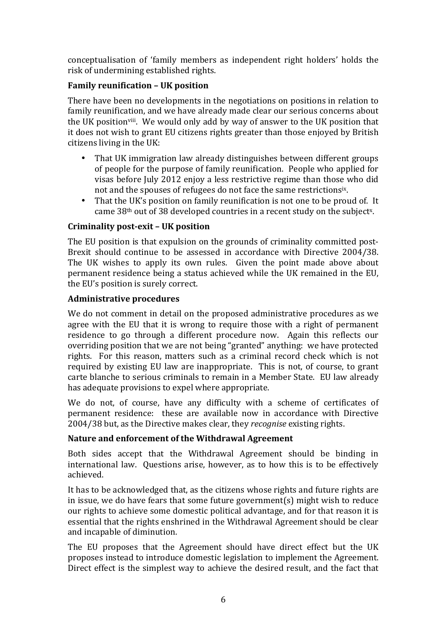conceptualisation of 'family members as independent right holders' holds the risk of undermining established rights.

## **Family reunification – UK position**

There have been no developments in the negotiations on positions in relation to family reunification, and we have already made clear our serious concerns about the UK position<sup>viii</sup>. We would only add by way of answer to the UK position that it does not wish to grant EU citizens rights greater than those enjoyed by British citizens living in the UK:

- That UK immigration law already distinguishes between different groups of people for the purpose of family reunification. People who applied for visas before July 2012 enjoy a less restrictive regime than those who did not and the spouses of refugees do not face the same restrictionsix.
- That the UK's position on family reunification is not one to be proud of. It came  $38<sup>th</sup>$  out of 38 developed countries in a recent study on the subject<sup>x</sup>.

## **Criminality post-exit – UK position**

The EU position is that expulsion on the grounds of criminality committed post-Brexit should continue to be assessed in accordance with Directive 2004/38. The UK wishes to apply its own rules. Given the point made above about permanent residence being a status achieved while the UK remained in the EU, the EU's position is surely correct.

### **Administrative procedures**

We do not comment in detail on the proposed administrative procedures as we agree with the EU that it is wrong to require those with a right of permanent residence to go through a different procedure now. Again this reflects our overriding position that we are not being "granted" anything: we have protected rights. For this reason, matters such as a criminal record check which is not required by existing EU law are inappropriate. This is not, of course, to grant carte blanche to serious criminals to remain in a Member State. EU law already has adequate provisions to expel where appropriate.

We do not, of course, have any difficulty with a scheme of certificates of permanent residence: these are available now in accordance with Directive 2004/38 but, as the Directive makes clear, they *recognise* existing rights.

### Nature and enforcement of the Withdrawal Agreement

Both sides accept that the Withdrawal Agreement should be binding in international law. Ouestions arise, however, as to how this is to be effectively achieved.

It has to be acknowledged that, as the citizens whose rights and future rights are in issue, we do have fears that some future government(s) might wish to reduce our rights to achieve some domestic political advantage, and for that reason it is essential that the rights enshrined in the Withdrawal Agreement should be clear and incapable of diminution.

The EU proposes that the Agreement should have direct effect but the UK proposes instead to introduce domestic legislation to implement the Agreement. Direct effect is the simplest way to achieve the desired result, and the fact that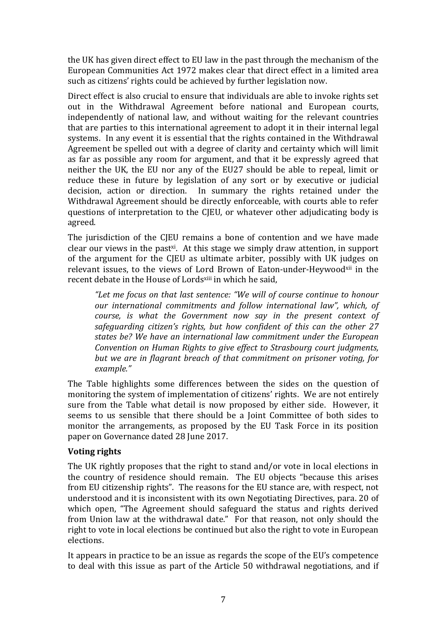the UK has given direct effect to EU law in the past through the mechanism of the European Communities Act 1972 makes clear that direct effect in a limited area such as citizens' rights could be achieved by further legislation now.

Direct effect is also crucial to ensure that individuals are able to invoke rights set out in the Withdrawal Agreement before national and European courts, independently of national law, and without waiting for the relevant countries that are parties to this international agreement to adopt it in their internal legal systems. In any event it is essential that the rights contained in the Withdrawal Agreement be spelled out with a degree of clarity and certainty which will limit as far as possible any room for argument, and that it be expressly agreed that neither the UK, the EU nor any of the EU27 should be able to repeal, limit or reduce these in future by legislation of any sort or by executive or judicial decision, action or direction. In summary the rights retained under the Withdrawal Agreement should be directly enforceable, with courts able to refer questions of interpretation to the CJEU, or whatever other adjudicating body is agreed.

The jurisdiction of the CJEU remains a bone of contention and we have made clear our views in the past<sup>xi</sup>. At this stage we simply draw attention, in support of the argument for the CJEU as ultimate arbiter, possibly with UK judges on relevant issues, to the views of Lord Brown of Eaton-under-Heywoodxii in the recent debate in the House of Lordsxiii in which he said,

"Let me focus on that last sentence: "We will of course continue to honour *our international commitments and follow international law", which, of course, is what the Government now say in the present context of* safeguarding citizen's rights, but how confident of this can the other 27 states be? We have an international law commitment under the European *Convention on Human Rights to give effect to Strasbourg court judgments, but* we are in flagrant breach of that commitment on prisoner voting, for *example."*

The Table highlights some differences between the sides on the question of monitoring the system of implementation of citizens' rights. We are not entirely sure from the Table what detail is now proposed by either side. However, it seems to us sensible that there should be a Joint Committee of both sides to monitor the arrangements, as proposed by the EU Task Force in its position paper on Governance dated 28 June 2017.

### **Voting rights**

The UK rightly proposes that the right to stand and/or vote in local elections in the country of residence should remain. The EU objects "because this arises from EU citizenship rights". The reasons for the EU stance are, with respect, not understood and it is inconsistent with its own Negotiating Directives, para. 20 of which open, "The Agreement should safeguard the status and rights derived from Union law at the withdrawal date." For that reason, not only should the right to vote in local elections be continued but also the right to vote in European elections.

It appears in practice to be an issue as regards the scope of the EU's competence to deal with this issue as part of the Article 50 withdrawal negotiations, and if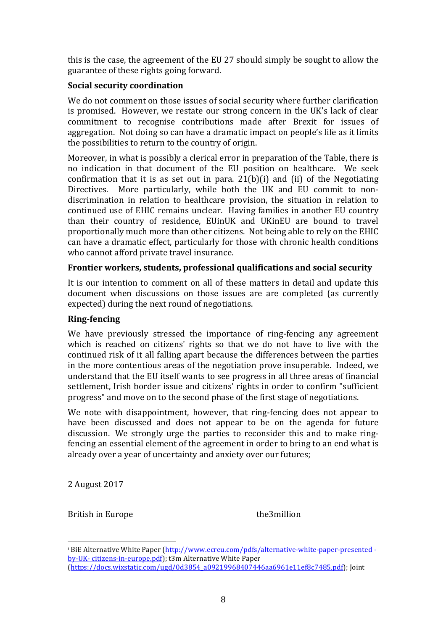this is the case, the agreement of the EU 27 should simply be sought to allow the guarantee of these rights going forward.

#### **Social security coordination**

We do not comment on those issues of social security where further clarification is promised. However, we restate our strong concern in the UK's lack of clear commitment to recognise contributions made after Brexit for issues of aggregation. Not doing so can have a dramatic impact on people's life as it limits the possibilities to return to the country of origin.

Moreover, in what is possibly a clerical error in preparation of the Table, there is no indication in that document of the EU position on healthcare. We seek confirmation that it is as set out in para.  $21(b)(i)$  and (ii) of the Negotiating Directives. More particularly, while both the UK and EU commit to nondiscrimination in relation to healthcare provision, the situation in relation to continued use of EHIC remains unclear. Having families in another EU country than their country of residence, EUinUK and UKinEU are bound to travel proportionally much more than other citizens. Not being able to rely on the EHIC can have a dramatic effect, particularly for those with chronic health conditions who cannot afford private travel insurance.

### **Frontier workers, students, professional qualifications and social security**

It is our intention to comment on all of these matters in detail and update this document when discussions on those issues are are completed (as currently expected) during the next round of negotiations.

### **Ring-fencing**

We have previously stressed the importance of ring-fencing any agreement which is reached on citizens' rights so that we do not have to live with the continued risk of it all falling apart because the differences between the parties in the more contentious areas of the negotiation prove insuperable. Indeed, we understand that the EU itself wants to see progress in all three areas of financial settlement, Irish border issue and citizens' rights in order to confirm "sufficient progress" and move on to the second phase of the first stage of negotiations.

We note with disappointment, however, that ring-fencing does not appear to have been discussed and does not appear to be on the agenda for future discussion. We strongly urge the parties to reconsider this and to make ringfencing an essential element of the agreement in order to bring to an end what is already over a year of uncertainty and anxiety over our futures;

2 August 2017

British in Europe the3million

 

<sup>&</sup>lt;sup>i</sup> BiE Alternative White Paper (http://www.ecreu.com/pdfs/alternative-white-paper-presented by-UK- citizens-in-europe.pdf); t3m Alternative White Paper (https://docs.wixstatic.com/ugd/0d3854\_a09219968407446aa6961e11ef8c7485.pdf); Joint